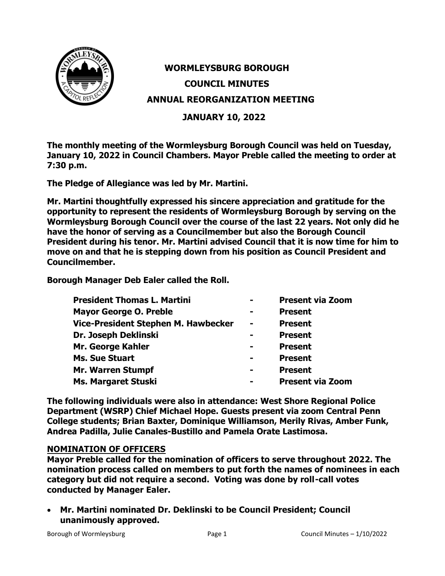

# **WORMLEYSBURG BOROUGH COUNCIL MINUTES ANNUAL REORGANIZATION MEETING**

**JANUARY 10, 2022**

**The monthly meeting of the Wormleysburg Borough Council was held on Tuesday, January 10, 2022 in Council Chambers. Mayor Preble called the meeting to order at 7:30 p.m.**

**The Pledge of Allegiance was led by Mr. Martini.**

**Mr. Martini thoughtfully expressed his sincere appreciation and gratitude for the opportunity to represent the residents of Wormleysburg Borough by serving on the Wormleysburg Borough Council over the course of the last 22 years. Not only did he have the honor of serving as a Councilmember but also the Borough Council President during his tenor. Mr. Martini advised Council that it is now time for him to move on and that he is stepping down from his position as Council President and Councilmember.**

**Borough Manager Deb Ealer called the Roll.**

| <b>President Thomas L. Martini</b>         |                | <b>Present via Zoom</b> |
|--------------------------------------------|----------------|-------------------------|
| <b>Mayor George O. Preble</b>              | $\blacksquare$ | <b>Present</b>          |
| <b>Vice-President Stephen M. Hawbecker</b> | $\blacksquare$ | <b>Present</b>          |
| Dr. Joseph Deklinski                       |                | <b>Present</b>          |
| Mr. George Kahler                          | $\blacksquare$ | <b>Present</b>          |
| <b>Ms. Sue Stuart</b>                      | $\blacksquare$ | <b>Present</b>          |
| <b>Mr. Warren Stumpf</b>                   | $\equiv$       | <b>Present</b>          |
| <b>Ms. Margaret Stuski</b>                 |                | <b>Present via Zoom</b> |

**The following individuals were also in attendance: West Shore Regional Police Department (WSRP) Chief Michael Hope. Guests present via zoom Central Penn College students; Brian Baxter, Dominique Williamson, Merily Rivas, Amber Funk, Andrea Padilla, Julie Canales-Bustillo and Pamela Orate Lastimosa.** 

# **NOMINATION OF OFFICERS**

**Mayor Preble called for the nomination of officers to serve throughout 2022. The nomination process called on members to put forth the names of nominees in each category but did not require a second. Voting was done by roll-call votes conducted by Manager Ealer.** 

• **Mr. Martini nominated Dr. Deklinski to be Council President; Council unanimously approved.**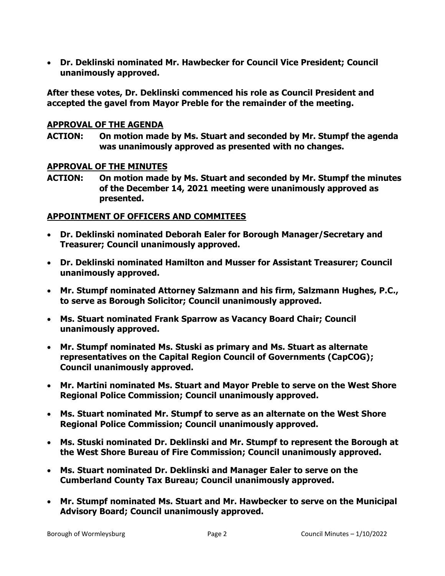• **Dr. Deklinski nominated Mr. Hawbecker for Council Vice President; Council unanimously approved.**

**After these votes, Dr. Deklinski commenced his role as Council President and accepted the gavel from Mayor Preble for the remainder of the meeting.** 

# **APPROVAL OF THE AGENDA**

**ACTION: On motion made by Ms. Stuart and seconded by Mr. Stumpf the agenda was unanimously approved as presented with no changes.**

## **APPROVAL OF THE MINUTES**

**ACTION: On motion made by Ms. Stuart and seconded by Mr. Stumpf the minutes of the December 14, 2021 meeting were unanimously approved as presented.**

### **APPOINTMENT OF OFFICERS AND COMMITEES**

- **Dr. Deklinski nominated Deborah Ealer for Borough Manager/Secretary and Treasurer; Council unanimously approved.**
- **Dr. Deklinski nominated Hamilton and Musser for Assistant Treasurer; Council unanimously approved.**
- **Mr. Stumpf nominated Attorney Salzmann and his firm, Salzmann Hughes, P.C., to serve as Borough Solicitor; Council unanimously approved.**
- **Ms. Stuart nominated Frank Sparrow as Vacancy Board Chair; Council unanimously approved.**
- **Mr. Stumpf nominated Ms. Stuski as primary and Ms. Stuart as alternate representatives on the Capital Region Council of Governments (CapCOG); Council unanimously approved.**
- **Mr. Martini nominated Ms. Stuart and Mayor Preble to serve on the West Shore Regional Police Commission; Council unanimously approved.**
- **Ms. Stuart nominated Mr. Stumpf to serve as an alternate on the West Shore Regional Police Commission; Council unanimously approved.**
- **Ms. Stuski nominated Dr. Deklinski and Mr. Stumpf to represent the Borough at the West Shore Bureau of Fire Commission; Council unanimously approved.**
- **Ms. Stuart nominated Dr. Deklinski and Manager Ealer to serve on the Cumberland County Tax Bureau; Council unanimously approved.**
- **Mr. Stumpf nominated Ms. Stuart and Mr. Hawbecker to serve on the Municipal Advisory Board; Council unanimously approved.**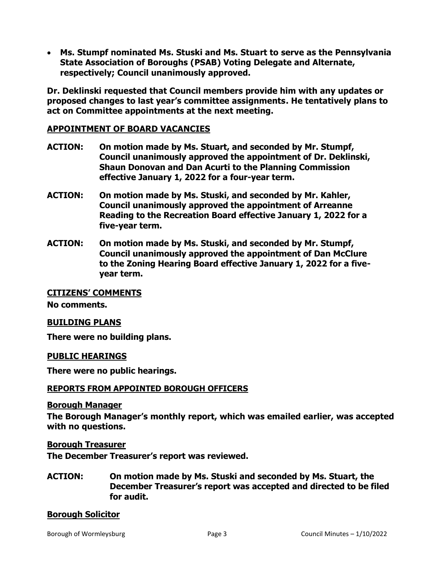• **Ms. Stumpf nominated Ms. Stuski and Ms. Stuart to serve as the Pennsylvania State Association of Boroughs (PSAB) Voting Delegate and Alternate, respectively; Council unanimously approved.** 

**Dr. Deklinski requested that Council members provide him with any updates or proposed changes to last year's committee assignments. He tentatively plans to act on Committee appointments at the next meeting.** 

# **APPOINTMENT OF BOARD VACANCIES**

- **ACTION: On motion made by Ms. Stuart, and seconded by Mr. Stumpf, Council unanimously approved the appointment of Dr. Deklinski, Shaun Donovan and Dan Acurti to the Planning Commission effective January 1, 2022 for a four-year term.**
- **ACTION: On motion made by Ms. Stuski, and seconded by Mr. Kahler, Council unanimously approved the appointment of Arreanne Reading to the Recreation Board effective January 1, 2022 for a five-year term.**
- **ACTION: On motion made by Ms. Stuski, and seconded by Mr. Stumpf, Council unanimously approved the appointment of Dan McClure to the Zoning Hearing Board effective January 1, 2022 for a fiveyear term.**

# **CITIZENS' COMMENTS**

**No comments.**

# **BUILDING PLANS**

**There were no building plans.** 

#### **PUBLIC HEARINGS**

**There were no public hearings.**

#### **REPORTS FROM APPOINTED BOROUGH OFFICERS**

#### **Borough Manager**

**The Borough Manager's monthly report, which was emailed earlier, was accepted with no questions.**

**Borough Treasurer**

**The December Treasurer's report was reviewed.**

**ACTION: On motion made by Ms. Stuski and seconded by Ms. Stuart, the December Treasurer's report was accepted and directed to be filed for audit.**

#### **Borough Solicitor**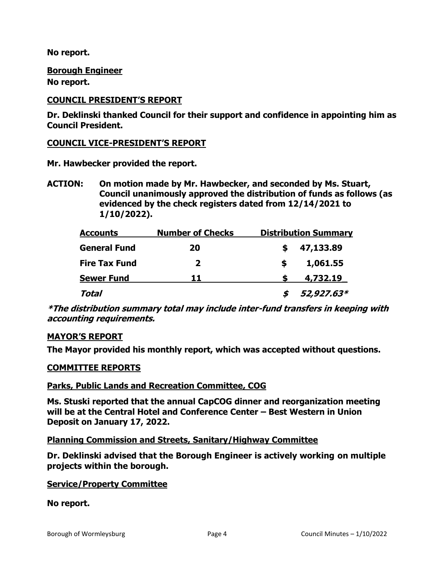**No report.**

# **Borough Engineer**

**No report.**

# **COUNCIL PRESIDENT'S REPORT**

**Dr. Deklinski thanked Council for their support and confidence in appointing him as Council President.**

# **COUNCIL VICE-PRESIDENT'S REPORT**

**Mr. Hawbecker provided the report.**

**ACTION: On motion made by Mr. Hawbecker, and seconded by Ms. Stuart, Council unanimously approved the distribution of funds as follows (as evidenced by the check registers dated from 12/14/2021 to 1/10/2022).**

| <b>Accounts</b>      | <b>Number of Checks</b> | <b>Distribution Summary</b> |  |  |
|----------------------|-------------------------|-----------------------------|--|--|
| <b>General Fund</b>  | 20                      | 47,133.89                   |  |  |
| <b>Fire Tax Fund</b> | 2                       | 1,061.55                    |  |  |
| <b>Sewer Fund</b>    | 11                      | 4,732.19                    |  |  |
| Total                |                         | 52,927.63*                  |  |  |

**\*The distribution summary total may include inter-fund transfers in keeping with accounting requirements.** 

# **MAYOR'S REPORT**

**The Mayor provided his monthly report, which was accepted without questions.** 

# **COMMITTEE REPORTS**

# **Parks, Public Lands and Recreation Committee, COG**

**Ms. Stuski reported that the annual CapCOG dinner and reorganization meeting will be at the Central Hotel and Conference Center – Best Western in Union Deposit on January 17, 2022.**

# **Planning Commission and Streets, Sanitary/Highway Committee**

**Dr. Deklinski advised that the Borough Engineer is actively working on multiple projects within the borough.**

# **Service/Property Committee**

# **No report.**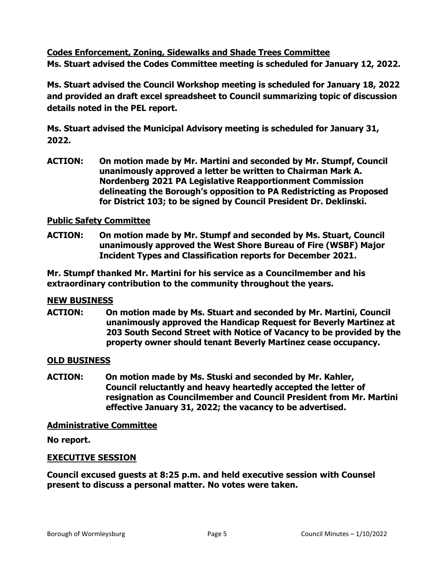**Codes Enforcement, Zoning, Sidewalks and Shade Trees Committee Ms. Stuart advised the Codes Committee meeting is scheduled for January 12, 2022.**

**Ms. Stuart advised the Council Workshop meeting is scheduled for January 18, 2022 and provided an draft excel spreadsheet to Council summarizing topic of discussion details noted in the PEL report.**

**Ms. Stuart advised the Municipal Advisory meeting is scheduled for January 31, 2022.**

**ACTION: On motion made by Mr. Martini and seconded by Mr. Stumpf, Council unanimously approved a letter be written to Chairman Mark A. Nordenberg 2021 PA Legislative Reapportionment Commission delineating the Borough's opposition to PA Redistricting as Proposed for District 103; to be signed by Council President Dr. Deklinski.**

# **Public Safety Committee**

**ACTION: On motion made by Mr. Stumpf and seconded by Ms. Stuart, Council unanimously approved the West Shore Bureau of Fire (WSBF) Major Incident Types and Classification reports for December 2021.** 

**Mr. Stumpf thanked Mr. Martini for his service as a Councilmember and his extraordinary contribution to the community throughout the years.** 

# **NEW BUSINESS**

**ACTION: On motion made by Ms. Stuart and seconded by Mr. Martini, Council unanimously approved the Handicap Request for Beverly Martinez at 203 South Second Street with Notice of Vacancy to be provided by the property owner should tenant Beverly Martinez cease occupancy.** 

# **OLD BUSINESS**

**ACTION: On motion made by Ms. Stuski and seconded by Mr. Kahler, Council reluctantly and heavy heartedly accepted the letter of resignation as Councilmember and Council President from Mr. Martini effective January 31, 2022; the vacancy to be advertised.** 

#### **Administrative Committee**

**No report.**

# **EXECUTIVE SESSION**

**Council excused guests at 8:25 p.m. and held executive session with Counsel present to discuss a personal matter. No votes were taken.**